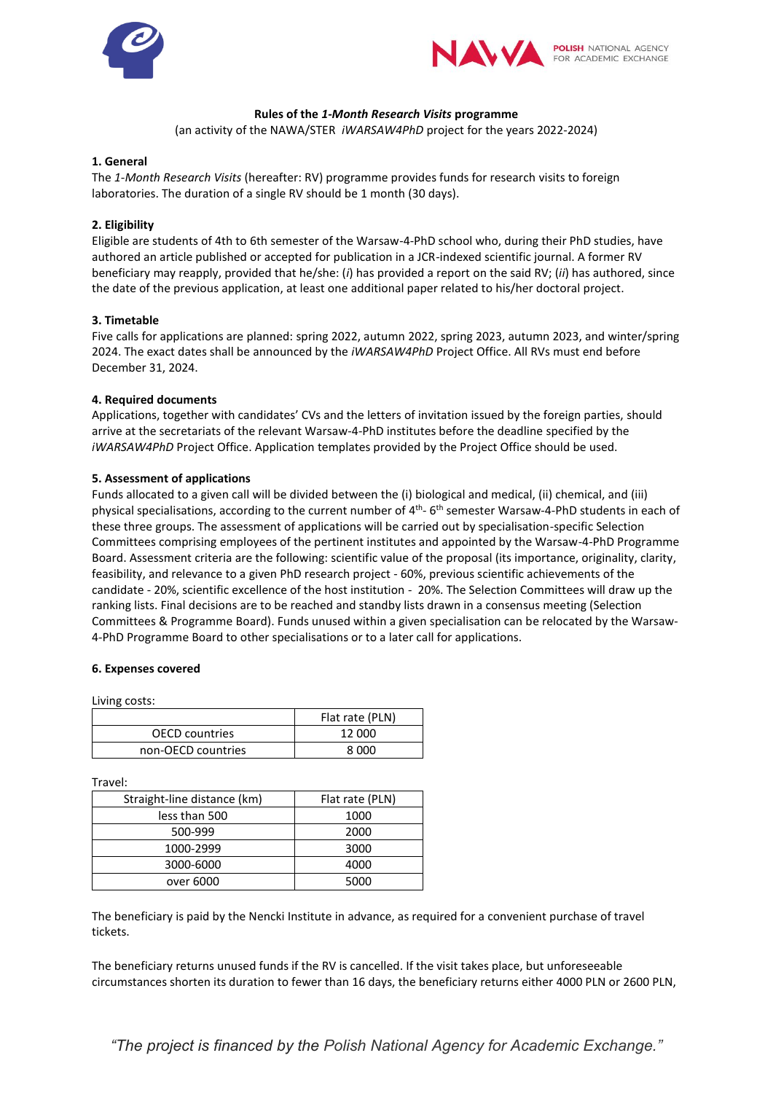



## **Rules of the** *1-Month Research Visits* **programme**

(an activity of the NAWA/STER *iWARSAW4PhD* project for the years 2022-2024)

### **1. General**

The *1-Month Research Visits* (hereafter: RV) programme provides funds for research visits to foreign laboratories. The duration of a single RV should be 1 month (30 days).

## **2. Eligibility**

Eligible are students of 4th to 6th semester of the Warsaw-4-PhD school who, during their PhD studies, have authored an article published or accepted for publication in a JCR-indexed scientific journal. A former RV beneficiary may reapply, provided that he/she: (*i*) has provided a report on the said RV; (*ii*) has authored, since the date of the previous application, at least one additional paper related to his/her doctoral project.

#### **3. Timetable**

Five calls for applications are planned: spring 2022, autumn 2022, spring 2023, autumn 2023, and winter/spring 2024. The exact dates shall be announced by the *iWARSAW4PhD* Project Office. All RVs must end before December 31, 2024.

## **4. Required documents**

Applications, together with candidates' CVs and the letters of invitation issued by the foreign parties, should arrive at the secretariats of the relevant Warsaw-4-PhD institutes before the deadline specified by the *iWARSAW4PhD* Project Office. Application templates provided by the Project Office should be used.

## **5. Assessment of applications**

Funds allocated to a given call will be divided between the (i) biological and medical, (ii) chemical, and (iii) physical specialisations, according to the current number of 4<sup>th</sup>-6<sup>th</sup> semester Warsaw-4-PhD students in each of these three groups. The assessment of applications will be carried out by specialisation-specific Selection Committees comprising employees of the pertinent institutes and appointed by the Warsaw-4-PhD Programme Board. Assessment criteria are the following: scientific value of the proposal (its importance, originality, clarity, feasibility, and relevance to a given PhD research project - 60%, previous scientific achievements of the candidate - 20%, scientific excellence of the host institution - 20%. The Selection Committees will draw up the ranking lists. Final decisions are to be reached and standby lists drawn in a consensus meeting (Selection Committees & Programme Board). Funds unused within a given specialisation can be relocated by the Warsaw-4-PhD Programme Board to other specialisations or to a later call for applications.

#### **6. Expenses covered**

Living costs:

|                       | Flat rate (PLN) |
|-----------------------|-----------------|
| <b>OECD</b> countries | 12 000          |
| non-OECD countries    | 8.000           |

Travel:

| Straight-line distance (km) | Flat rate (PLN) |
|-----------------------------|-----------------|
| less than 500               | 1000            |
| 500-999                     | 2000            |
| 1000-2999                   | 3000            |
| 3000-6000                   | 4000            |
| over 6000                   | 5000            |

The beneficiary is paid by the Nencki Institute in advance, as required for a convenient purchase of travel tickets.

The beneficiary returns unused funds if the RV is cancelled. If the visit takes place, but unforeseeable circumstances shorten its duration to fewer than 16 days, the beneficiary returns either 4000 PLN or 2600 PLN,

*"The project is financed by the Polish National Agency for Academic Exchange."*